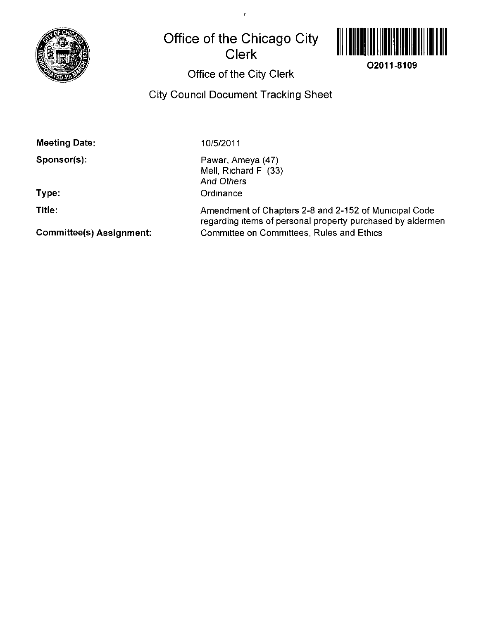

# **Office of the Chicago City Clerk**

 $\epsilon$ 



**02011-8109** 

**Office of the City Clerk** 

**City Council Document Tracking Sheet** 

**Meeting Date:** 

**Sponsor(s):** 

**Type:** 

**Title:** 

**Committee(s) Assignment:** 

10/5/2011

Pawar, Ameya (47) Mell, Richard F (33) And Others **Ordinance** 

Amendment of Chapters 2-8 and 2-152 of Municipal Code regarding items of personal property purchased by aldermen Committee on Committees, Rules and Ethics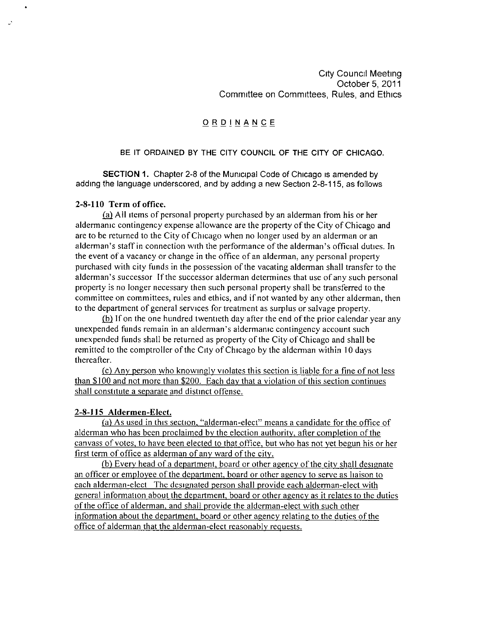City Council Meeting October 5, 2011 Committee on Committees, Rules, and Ethics

## ORDINANC E

### BE IT ORDAINED BY THE CITY COUNCIL OF THE CITY OF CHICAGO.

SECTION 1. Chapter 2-8 of the Municipal Code of Chicago is amended by adding the language underscored, and by adding a new Section 2-8-115, as follows

## **2-8-110 Term of office.**

(a) All items of personal property purchased by an alderman from his or her aldermanic contingency expense allowance are the property of the City of Chicago and are to be returned to the City of Chicago when no longer used by an alderman or an alderman's staff in connection with the performance ofthe alderman's official duties. In the event of a vacancy or change in the office of an alderman, any personal property purchased with city funds in the possession of the vacating alderman shall transfer to the alderman's successor If the successor alderman determines that use of any such personal property is no longer necessary then such personal property shall be transferred to the committee on committees, rules and ethics, and if not wanted by any other alderman, then to the department of general services for treatment as surplus or salvage property.

(b) If on the one hundred twentieth day after the end of the prior calendar year any unexpended funds remain in an alderman's aldermanic contingency account such unexpended funds shail be returned as property of the City of Chicago and shall be remitted to the comptroller of the City of Chicago by the alderman within 10 days thereafter.

(c) Anv person who knowingly violates this section is liable for a fine of not less than  $$100$  and not more than  $$200$ . Each day that a violation of this section continues shall constitute a separate and distinct offense.

#### **2-8-115 Aldermen-Elect.**

(a) As used in this section, "alderman-elect" means a candidate for the office of alderman who has been proclaimed by the election authority, after completion of the canvass of votes, to have been elected to that office, but who has not vet begun his or her first term of office as alderman of any ward of the city.

(b) Every head of a department, board or other agency of the city shall designate an officer or employee ofthe department, board or other agencv to serve as liaison to each alderman-elect The designated person shall provide each alderman-eiect with general information about the department, board or other agency as it relates to the duties of the office of alderman, and shall provide the aldcrman-elect with such other information about the department, board or other agencv relating to the duties of the office of alderman that the alderman-elect reasonably requests.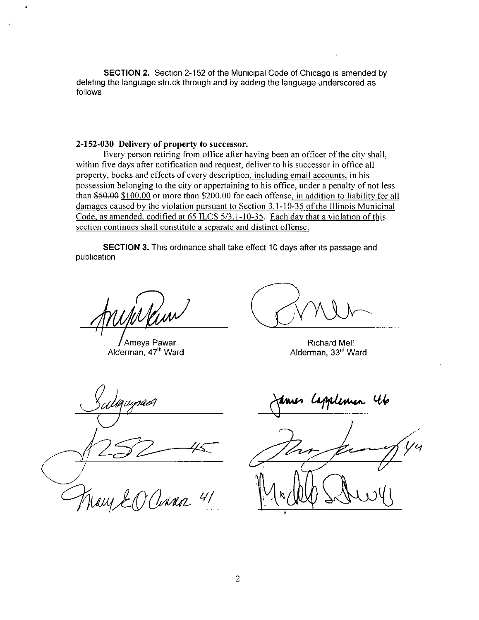SECTION 2. Section 2-152 of the Municipal Code of Chicago is amended by deleting the language struck through and by adding the language underscored as follows

#### **2-152-030 Delivery of property to successor.**

Every person retiring from office after having been an officer of the city shall, within five days after notification and request, deliver to his successor in office all property, books and effects of every description, including email accounts, in his possession belonging to the city or appertaining to his office, under a penalty of not less than \$50.00 \$100.00 or more than \$200.00 for each offense, in addition to liability for all damages caused by the violation pursuant to Section 3.1-10-35 of the Illinois Municipal Code, as amended, codified at 65 ILCS 5/3.1-10-35. Each day that a violation of this section continues shall constitute a separate and distinct offense.

SECTION 3. This ordinance shall take effect 10 days after its passage and publication

Ameya Pawar Alderman, 47<sup>th</sup> Ward

Richard Mell Alderman, 33<sup>rd</sup> Ward

(WHARO 41

appleman 46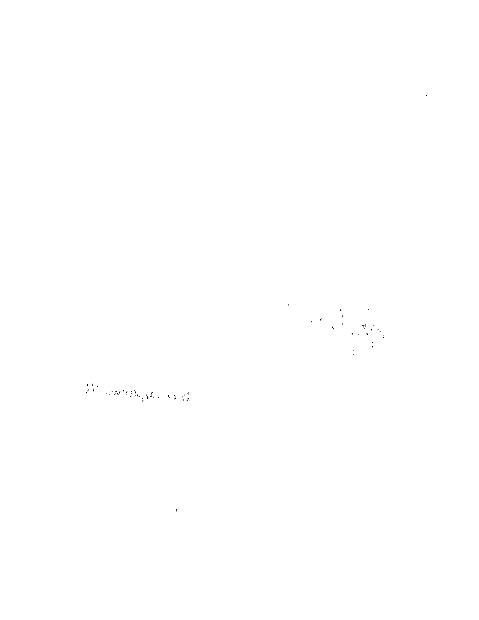$\frac{1}{2}\sum_{i=1}^{n}\frac{1}{2}\sum_{j=1}^{n}\frac{1}{2} \sum_{j=1}^{n}\frac{1}{2} \sum_{j=1}^{n}\frac{1}{2} \sum_{j=1}^{n}\frac{1}{2} \sum_{j=1}^{n}\frac{1}{2} \sum_{j=1}^{n}\frac{1}{2} \sum_{j=1}^{n}\frac{1}{2} \sum_{j=1}^{n}\frac{1}{2} \sum_{j=1}^{n}\frac{1}{2} \sum_{j=1}^{n}\frac{1}{2} \sum_{j=1}^{n}\frac{1}{2} \sum_{j=1}^{n}\frac{1}{2} \sum_{j=1}$ 

 $\mathcal{L}^{\text{max}}_{\text{max}}$  and  $\mathcal{L}^{\text{max}}_{\text{max}}$ 

 $\mathcal{L}^{(1)}$  .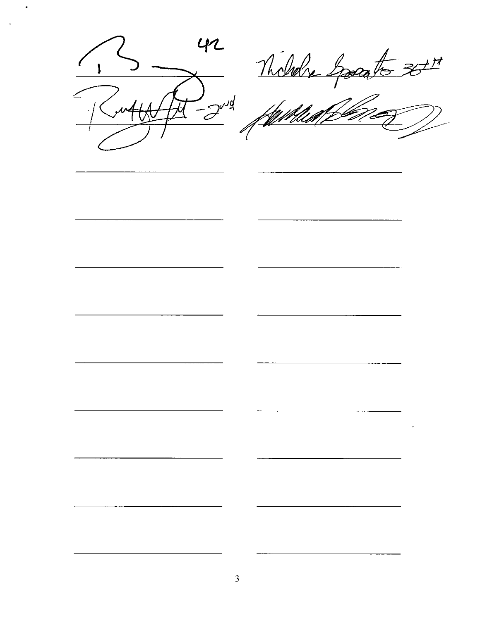

- Thebelse Speaks 30+H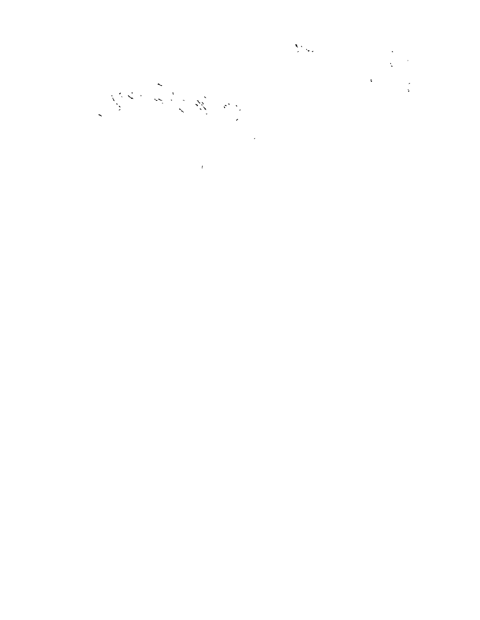$\sum_{i=1}^n \sum_{j=1}^n \sum_{j=1}^n \sum_{j=1}^n \sum_{j=1}^n \sum_{j=1}^n \sum_{j=1}^n \sum_{j=1}^n \sum_{j=1}^n \sum_{j=1}^n \sum_{j=1}^n \sum_{j=1}^n \sum_{j=1}^n \sum_{j=1}^n \sum_{j=1}^n \sum_{j=1}^n \sum_{j=1}^n \sum_{j=1}^n \sum_{j=1}^n \sum_{j=1}^n \sum_{j=1}^n \sum_{j=1}^n \sum_{j=1}^n \sum_{j=1}^n \sum_{j$  $\label{eq:2.1} \frac{1}{2} \int_{-\infty}^{\infty} \frac{1}{2} \left( \frac{1}{2} \int_{-\infty}^{\infty} \frac{1}{2} \left( \frac{1}{2} \int_{-\infty}^{\infty} \frac{1}{2} \left( \frac{1}{2} \int_{-\infty}^{\infty} \frac{1}{2} \right) \right) \, d\mu \right) \, d\mu$ 

 $\label{eq:2.1} \frac{1}{\sqrt{2}}\int_{\mathbb{R}^3} \frac{1}{\sqrt{2}}\left(\frac{1}{\sqrt{2}}\right)^2\frac{1}{\sqrt{2}}\left(\frac{1}{\sqrt{2}}\right)^2\frac{1}{\sqrt{2}}\left(\frac{1}{\sqrt{2}}\right)^2.$  $\label{eq:2.1} \mathcal{L}(\mathcal{L}^{\text{max}}_{\text{max}}(\mathcal{L}^{\text{max}}_{\text{max}}(\mathcal{L}^{\text{max}}_{\text{max}}(\mathcal{L}^{\text{max}}_{\text{max}})))$ 

 $\label{eq:2} \frac{1}{\sqrt{2}}\sum_{i=1}^N\frac{1}{\sqrt{2}}\sum_{i=1}^N\frac{1}{\sqrt{2}}\sum_{i=1}^N\frac{1}{\sqrt{2}}\sum_{i=1}^N\frac{1}{\sqrt{2}}\sum_{i=1}^N\frac{1}{\sqrt{2}}\sum_{i=1}^N\frac{1}{\sqrt{2}}\sum_{i=1}^N\frac{1}{\sqrt{2}}\sum_{i=1}^N\frac{1}{\sqrt{2}}\sum_{i=1}^N\frac{1}{\sqrt{2}}\sum_{i=1}^N\frac{1}{\sqrt{2}}\sum_{i=1}^N\frac{1$